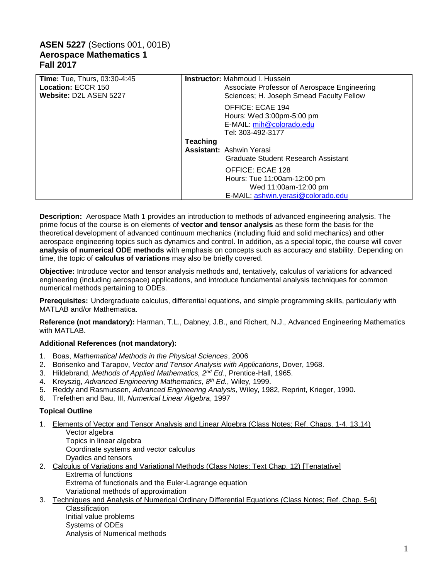# **ASEN 5227** (Sections 001, 001B) **Aerospace Mathematics 1 Fall 2017**

| <b>Time: Tue, Thurs, 03:30-4:45</b><br>Location: ECCR 150<br>Website: D2L ASEN 5227 |                 | <b>Instructor:</b> Mahmoud I. Hussein<br>Associate Professor of Aerospace Engineering<br>Sciences; H. Joseph Smead Faculty Fellow |
|-------------------------------------------------------------------------------------|-----------------|-----------------------------------------------------------------------------------------------------------------------------------|
|                                                                                     |                 | OFFICE: ECAE 194<br>Hours: Wed 3:00pm-5:00 pm<br>E-MAIL: mih@colorado.edu<br>Tel: 303-492-3177                                    |
|                                                                                     | <b>Teaching</b> |                                                                                                                                   |
|                                                                                     |                 | <b>Assistant: Ashwin Yerasi</b>                                                                                                   |
|                                                                                     |                 | Graduate Student Research Assistant                                                                                               |
|                                                                                     |                 | OFFICE: ECAE 128                                                                                                                  |
|                                                                                     |                 | Hours: Tue 11:00am-12:00 pm                                                                                                       |
|                                                                                     |                 | Wed 11:00am-12:00 pm                                                                                                              |
|                                                                                     |                 | E-MAIL: ashwin.yerasi@colorado.edu                                                                                                |

**Description:** Aerospace Math 1 provides an introduction to methods of advanced engineering analysis. The prime focus of the course is on elements of **vector and tensor analysis** as these form the basis for the theoretical development of advanced continuum mechanics (including fluid and solid mechanics) and other aerospace engineering topics such as dynamics and control. In addition, as a special topic, the course will cover **analysis of numerical ODE methods** with emphasis on concepts such as accuracy and stability. Depending on time, the topic of **calculus of variations** may also be briefly covered.

**Objective:** Introduce vector and tensor analysis methods and, tentatively, calculus of variations for advanced engineering (including aerospace) applications, and introduce fundamental analysis techniques for common numerical methods pertaining to ODEs.

**Prerequisites:** Undergraduate calculus, differential equations, and simple programming skills, particularly with MATLAB and/or Mathematica.

**Reference (not mandatory):** Harman, T.L., Dabney, J.B., and Richert, N.J., Advanced Engineering Mathematics with MATLAB.

### **Additional References (not mandatory):**

- 1. Boas, *Mathematical Methods in the Physical Sciences*, 2006
- 2. Borisenko and Tarapov, *Vector and Tensor Analysis with Applications*, Dover, 1968.
- 3. Hildebrand, *Methods of Applied Mathematics, 2nd Ed.*, Prentice-Hall, 1965.
- 4. Kreyszig, *Advanced Engineering Mathematics, 8th Ed.*, Wiley, 1999.
- 5. Reddy and Rasmussen, *Advanced Engineering Analysis*, Wiley, 1982, Reprint, Krieger, 1990.
- 6. Trefethen and Bau, III, *Numerical Linear Algebra*, 1997

#### **Topical Outline**

1. Elements of Vector and Tensor Analysis and Linear Algebra (Class Notes; Ref. Chaps. 1-4, 13,14) Vector algebra

Topics in linear algebra Coordinate systems and vector calculus Dyadics and tensors

- 2. Calculus of Variations and Variational Methods (Class Notes; Text Chap. 12) [Tenatative] Extrema of functions Extrema of functionals and the Euler-Lagrange equation
	- Variational methods of approximation
- 3. Techniques and Analysis of Numerical Ordinary Differential Equations (Class Notes; Ref. Chap. 5-6) **Classification** Initial value problems Systems of ODEs

Analysis of Numerical methods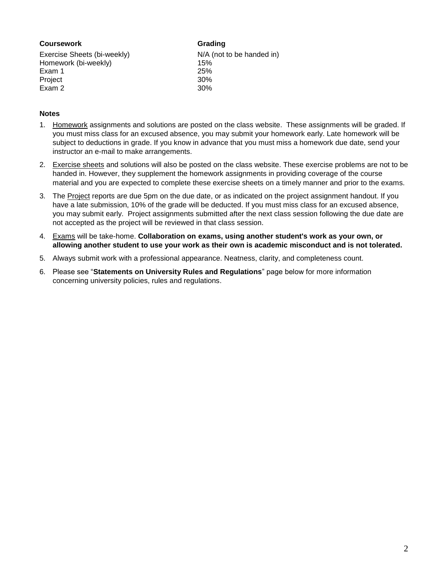#### **Coursework Grading** Exercise Sheets (bi-weekly) N/A (not to be handed in) Homework (bi-weekly) 15% Exam 1 25%

Project 30% Exam 2 30%

## **Notes**

- 1. Homework assignments and solutions are posted on the class website. These assignments will be graded. If you must miss class for an excused absence, you may submit your homework early. Late homework will be subject to deductions in grade. If you know in advance that you must miss a homework due date, send your instructor an e-mail to make arrangements.
- 2. Exercise sheets and solutions will also be posted on the class website. These exercise problems are not to be handed in. However, they supplement the homework assignments in providing coverage of the course material and you are expected to complete these exercise sheets on a timely manner and prior to the exams.
- 3. The Project reports are due 5pm on the due date, or as indicated on the project assignment handout. If you have a late submission, 10% of the grade will be deducted. If you must miss class for an excused absence, you may submit early. Project assignments submitted after the next class session following the due date are not accepted as the project will be reviewed in that class session.
- 4. Exams will be take-home. **Collaboration on exams, using another student's work as your own, or allowing another student to use your work as their own is academic misconduct and is not tolerated.**
- 5. Always submit work with a professional appearance. Neatness, clarity, and completeness count.
- 6. Please see "**Statements on University Rules and Regulations**" page below for more information concerning university policies, rules and regulations.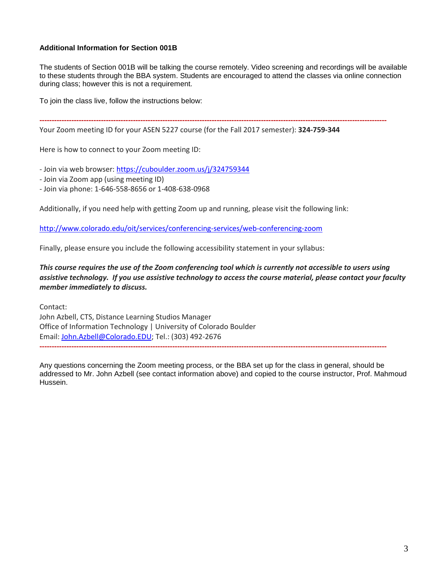### **Additional Information for Section 001B**

The students of Section 001B will be talking the course remotely. Video screening and recordings will be available to these students through the BBA system. Students are encouraged to attend the classes via online connection during class; however this is not a requirement.

**---------------------------------------------------------------------------------------------------------------------------------------------**

To join the class live, follow the instructions below:

Your Zoom meeting ID for your ASEN 5227 course (for the Fall 2017 semester): **324-759-344**

Here is how to connect to your Zoom meeting ID:

- Join via web browser: <https://cuboulder.zoom.us/j/324759344>

- Join via Zoom app (using meeting ID)

- Join via phone: 1-646-558-8656 or 1-408-638-0968

Additionally, if you need help with getting Zoom up and running, please visit the following link:

<http://www.colorado.edu/oit/services/conferencing-services/web-conferencing-zoom>

Finally, please ensure you include the following accessibility statement in your syllabus:

*This course requires the use of the Zoom conferencing tool which is currently not accessible to users using assistive technology. If you use assistive technology to access the course material, please contact your faculty member immediately to discuss.*

Contact: John Azbell, CTS, Distance Learning Studios Manager Office of Information Technology | University of Colorado Boulder Email: [John.Azbell@Colorado.EDU;](mailto:John.Azbell@Colorado.EDU) Tel.: (303) 492-2676 **---------------------------------------------------------------------------------------------------------------------------------------------**

Any questions concerning the Zoom meeting process, or the BBA set up for the class in general, should be addressed to Mr. John Azbell (see contact information above) and copied to the course instructor, Prof. Mahmoud Hussein.